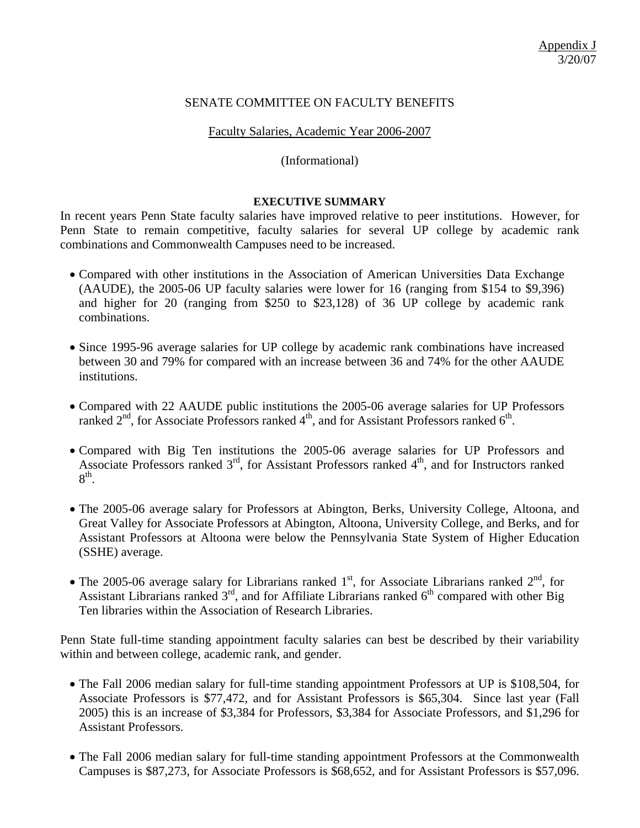## SENATE COMMITTEE ON FACULTY BENEFITS

### Faculty Salaries, Academic Year 2006-2007

### (Informational)

#### **EXECUTIVE SUMMARY**

In recent years Penn State faculty salaries have improved relative to peer institutions. However, for Penn State to remain competitive, faculty salaries for several UP college by academic rank combinations and Commonwealth Campuses need to be increased.

- Compared with other institutions in the Association of American Universities Data Exchange (AAUDE), the 2005-06 UP faculty salaries were lower for 16 (ranging from \$154 to \$9,396) and higher for 20 (ranging from \$250 to \$23,128) of 36 UP college by academic rank combinations.
- Since 1995-96 average salaries for UP college by academic rank combinations have increased between 30 and 79% for compared with an increase between 36 and 74% for the other AAUDE institutions.
- Compared with 22 AAUDE public institutions the 2005-06 average salaries for UP Professors ranked  $2<sup>nd</sup>$ , for Associate Professors ranked  $4<sup>th</sup>$ , and for Assistant Professors ranked  $6<sup>th</sup>$ .
- Compared with Big Ten institutions the 2005-06 average salaries for UP Professors and Associate Professors ranked  $3<sup>rd</sup>$ , for Assistant Professors ranked  $4<sup>th</sup>$ , and for Instructors ranked  $8<sup>th</sup>$ .
- The 2005-06 average salary for Professors at Abington, Berks, University College, Altoona, and Great Valley for Associate Professors at Abington, Altoona, University College, and Berks, and for Assistant Professors at Altoona were below the Pennsylvania State System of Higher Education (SSHE) average.
- The 2005-06 average salary for Librarians ranked  $1<sup>st</sup>$ , for Associate Librarians ranked  $2<sup>nd</sup>$ , for Assistant Librarians ranked  $3<sup>rd</sup>$ , and for Affiliate Librarians ranked  $6<sup>th</sup>$  compared with other Big Ten libraries within the Association of Research Libraries.

Penn State full-time standing appointment faculty salaries can best be described by their variability within and between college, academic rank, and gender.

- The Fall 2006 median salary for full-time standing appointment Professors at UP is \$108,504, for Associate Professors is \$77,472, and for Assistant Professors is \$65,304. Since last year (Fall 2005) this is an increase of \$3,384 for Professors, \$3,384 for Associate Professors, and \$1,296 for Assistant Professors.
- The Fall 2006 median salary for full-time standing appointment Professors at the Commonwealth Campuses is \$87,273, for Associate Professors is \$68,652, and for Assistant Professors is \$57,096.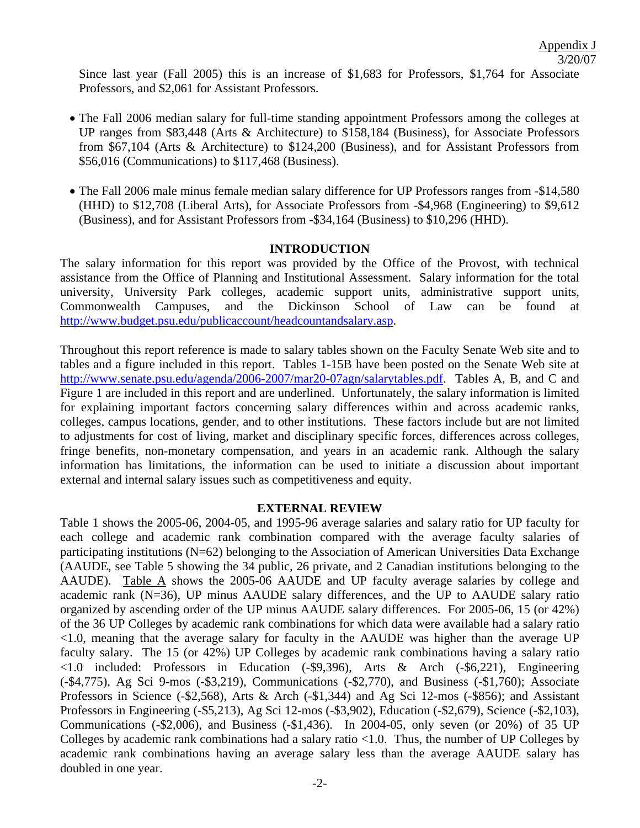Since last year (Fall 2005) this is an increase of \$1,683 for Professors, \$1,764 for Associate Professors, and \$2,061 for Assistant Professors.

- The Fall 2006 median salary for full-time standing appointment Professors among the colleges at UP ranges from \$83,448 (Arts & Architecture) to \$158,184 (Business), for Associate Professors from \$67,104 (Arts & Architecture) to \$124,200 (Business), and for Assistant Professors from \$56,016 (Communications) to \$117,468 (Business).
- The Fall 2006 male minus female median salary difference for UP Professors ranges from -\$14,580 (HHD) to \$12,708 (Liberal Arts), for Associate Professors from -\$4,968 (Engineering) to \$9,612 (Business), and for Assistant Professors from -\$34,164 (Business) to \$10,296 (HHD).

## **INTRODUCTION**

The salary information for this report was provided by the Office of the Provost, with technical assistance from the Office of Planning and Institutional Assessment. Salary information for the total university, University Park colleges, academic support units, administrative support units, Commonwealth Campuses, and the Dickinson School of Law can be found at <http://www.budget.psu.edu/publicaccount/headcountandsalary.asp>.

Throughout this report reference is made to salary tables shown on the Faculty Senate Web site and to tables and a figure included in this report. Tables 1-15B have been posted on the Senate Web site at <http://www.senate.psu.edu/agenda/2006-2007/mar20-07agn/salarytables.pdf>. Tables A, B, and C and Figure 1 are included in this report and are underlined. Unfortunately, the salary information is limited for explaining important factors concerning salary differences within and across academic ranks, colleges, campus locations, gender, and to other institutions. These factors include but are not limited to adjustments for cost of living, market and disciplinary specific forces, differences across colleges, fringe benefits, non-monetary compensation, and years in an academic rank. Although the salary information has limitations, the information can be used to initiate a discussion about important external and internal salary issues such as competitiveness and equity.

## **EXTERNAL REVIEW**

Table 1 shows the 2005-06, 2004-05, and 1995-96 average salaries and salary ratio for UP faculty for each college and academic rank combination compared with the average faculty salaries of participating institutions (N=62) belonging to the Association of American Universities Data Exchange (AAUDE, see Table 5 showing the 34 public, 26 private, and 2 Canadian institutions belonging to the AAUDE). Table A shows the 2005-06 AAUDE and UP faculty average salaries by college and academic rank (N=36), UP minus AAUDE salary differences, and the UP to AAUDE salary ratio organized by ascending order of the UP minus AAUDE salary differences. For 2005-06, 15 (or 42%) of the 36 UP Colleges by academic rank combinations for which data were available had a salary ratio <1.0, meaning that the average salary for faculty in the AAUDE was higher than the average UP faculty salary. The 15 (or 42%) UP Colleges by academic rank combinations having a salary ratio <1.0 included: Professors in Education (-\$9,396), Arts & Arch (-\$6,221), Engineering (-\$4,775), Ag Sci 9-mos (-\$3,219), Communications (-\$2,770), and Business (-\$1,760); Associate Professors in Science (-\$2,568), Arts & Arch (-\$1,344) and Ag Sci 12-mos (-\$856); and Assistant Professors in Engineering (-\$5,213), Ag Sci 12-mos (-\$3,902), Education (-\$2,679), Science (-\$2,103), Communications (-\$2,006), and Business (-\$1,436). In 2004-05, only seven (or 20%) of 35 UP Colleges by academic rank combinations had a salary ratio <1.0. Thus, the number of UP Colleges by academic rank combinations having an average salary less than the average AAUDE salary has doubled in one year.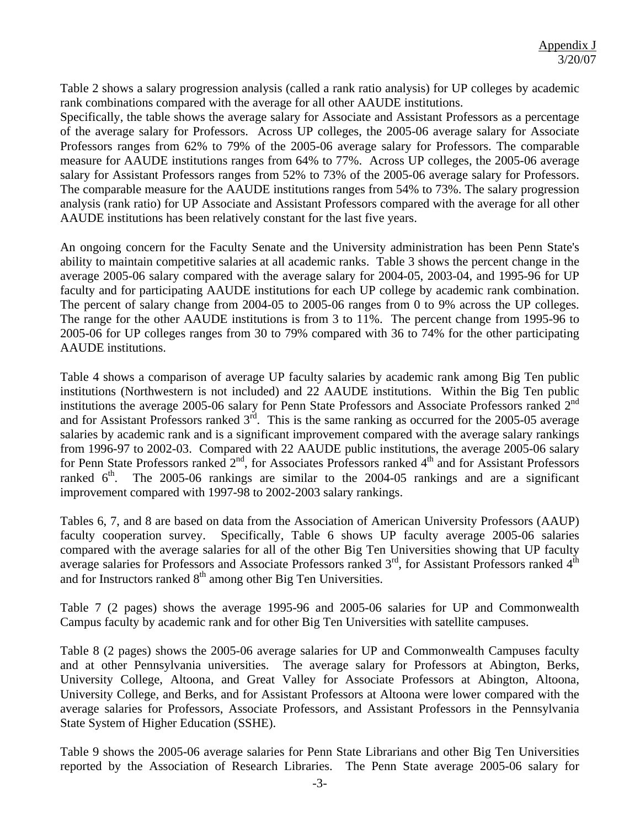Table 2 shows a salary progression analysis (called a rank ratio analysis) for UP colleges by academic rank combinations compared with the average for all other AAUDE institutions.

Specifically, the table shows the average salary for Associate and Assistant Professors as a percentage of the average salary for Professors. Across UP colleges, the 2005-06 average salary for Associate Professors ranges from 62% to 79% of the 2005-06 average salary for Professors. The comparable measure for AAUDE institutions ranges from 64% to 77%. Across UP colleges, the 2005-06 average salary for Assistant Professors ranges from 52% to 73% of the 2005-06 average salary for Professors. The comparable measure for the AAUDE institutions ranges from 54% to 73%. The salary progression analysis (rank ratio) for UP Associate and Assistant Professors compared with the average for all other AAUDE institutions has been relatively constant for the last five years.

An ongoing concern for the Faculty Senate and the University administration has been Penn State's ability to maintain competitive salaries at all academic ranks. Table 3 shows the percent change in the average 2005-06 salary compared with the average salary for 2004-05, 2003-04, and 1995-96 for UP faculty and for participating AAUDE institutions for each UP college by academic rank combination. The percent of salary change from 2004-05 to 2005-06 ranges from 0 to 9% across the UP colleges. The range for the other AAUDE institutions is from 3 to 11%. The percent change from 1995-96 to 2005-06 for UP colleges ranges from 30 to 79% compared with 36 to 74% for the other participating AAUDE institutions.

Table 4 shows a comparison of average UP faculty salaries by academic rank among Big Ten public institutions (Northwestern is not included) and 22 AAUDE institutions. Within the Big Ten public institutions the average 2005-06 salary for Penn State Professors and Associate Professors ranked 2<sup>nd</sup> and for Assistant Professors ranked  $3<sup>rd</sup>$ . This is the same ranking as occurred for the 2005-05 average salaries by academic rank and is a significant improvement compared with the average salary rankings from 1996-97 to 2002-03. Compared with 22 AAUDE public institutions, the average 2005-06 salary for Penn State Professors ranked 2<sup>nd</sup>, for Associates Professors ranked 4<sup>th</sup> and for Assistant Professors ranked  $6<sup>th</sup>$ . The 2005-06 rankings are similar to the 2004-05 rankings and are a significant improvement compared with 1997-98 to 2002-2003 salary rankings.

Tables 6, 7, and 8 are based on data from the Association of American University Professors (AAUP) faculty cooperation survey. Specifically, Table 6 shows UP faculty average 2005-06 salaries compared with the average salaries for all of the other Big Ten Universities showing that UP faculty average salaries for Professors and Associate Professors ranked  $3<sup>rd</sup>$ , for Assistant Professors ranked  $4<sup>th</sup>$ and for Instructors ranked  $8<sup>th</sup>$  among other Big Ten Universities.

Table 7 (2 pages) shows the average 1995-96 and 2005-06 salaries for UP and Commonwealth Campus faculty by academic rank and for other Big Ten Universities with satellite campuses.

Table 8 (2 pages) shows the 2005-06 average salaries for UP and Commonwealth Campuses faculty and at other Pennsylvania universities. The average salary for Professors at Abington, Berks, University College, Altoona, and Great Valley for Associate Professors at Abington, Altoona, University College, and Berks, and for Assistant Professors at Altoona were lower compared with the average salaries for Professors, Associate Professors, and Assistant Professors in the Pennsylvania State System of Higher Education (SSHE).

Table 9 shows the 2005-06 average salaries for Penn State Librarians and other Big Ten Universities reported by the Association of Research Libraries. The Penn State average 2005-06 salary for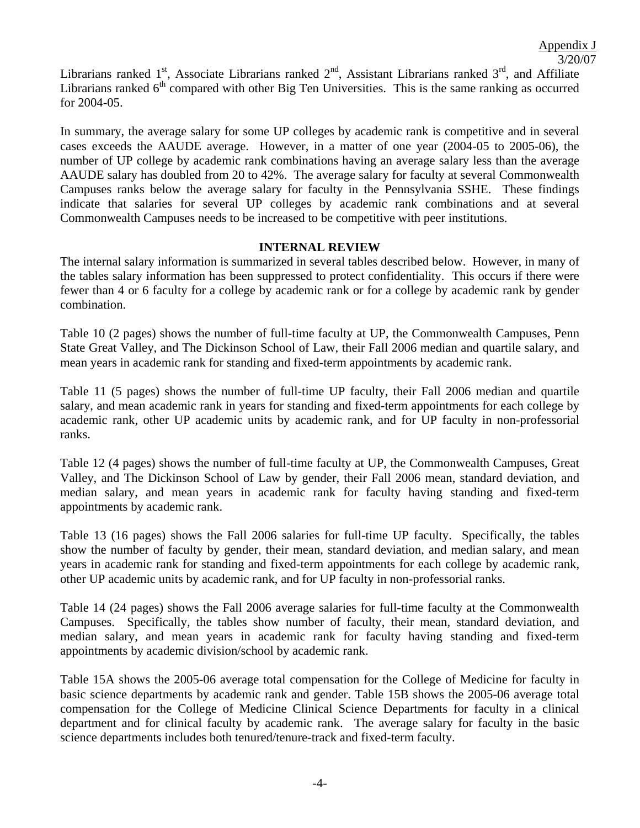## Appendix J 3/20/07

Librarians ranked 1<sup>st</sup>, Associate Librarians ranked  $2<sup>nd</sup>$ , Assistant Librarians ranked  $3<sup>rd</sup>$ , and Affiliate Librarians ranked  $6<sup>th</sup>$  compared with other Big Ten Universities. This is the same ranking as occurred for 2004-05.

In summary, the average salary for some UP colleges by academic rank is competitive and in several cases exceeds the AAUDE average. However, in a matter of one year (2004-05 to 2005-06), the number of UP college by academic rank combinations having an average salary less than the average AAUDE salary has doubled from 20 to 42%. The average salary for faculty at several Commonwealth Campuses ranks below the average salary for faculty in the Pennsylvania SSHE. These findings indicate that salaries for several UP colleges by academic rank combinations and at several Commonwealth Campuses needs to be increased to be competitive with peer institutions.

## **INTERNAL REVIEW**

The internal salary information is summarized in several tables described below. However, in many of the tables salary information has been suppressed to protect confidentiality. This occurs if there were fewer than 4 or 6 faculty for a college by academic rank or for a college by academic rank by gender combination.

Table 10 (2 pages) shows the number of full-time faculty at UP, the Commonwealth Campuses, Penn State Great Valley, and The Dickinson School of Law, their Fall 2006 median and quartile salary, and mean years in academic rank for standing and fixed-term appointments by academic rank.

Table 11 (5 pages) shows the number of full-time UP faculty, their Fall 2006 median and quartile salary, and mean academic rank in years for standing and fixed-term appointments for each college by academic rank, other UP academic units by academic rank, and for UP faculty in non-professorial ranks.

Table 12 (4 pages) shows the number of full-time faculty at UP, the Commonwealth Campuses, Great Valley, and The Dickinson School of Law by gender, their Fall 2006 mean, standard deviation, and median salary, and mean years in academic rank for faculty having standing and fixed-term appointments by academic rank.

Table 13 (16 pages) shows the Fall 2006 salaries for full-time UP faculty. Specifically, the tables show the number of faculty by gender, their mean, standard deviation, and median salary, and mean years in academic rank for standing and fixed-term appointments for each college by academic rank, other UP academic units by academic rank, and for UP faculty in non-professorial ranks.

Table 14 (24 pages) shows the Fall 2006 average salaries for full-time faculty at the Commonwealth Campuses. Specifically, the tables show number of faculty, their mean, standard deviation, and median salary, and mean years in academic rank for faculty having standing and fixed-term appointments by academic division/school by academic rank.

Table 15A shows the 2005-06 average total compensation for the College of Medicine for faculty in basic science departments by academic rank and gender. Table 15B shows the 2005-06 average total compensation for the College of Medicine Clinical Science Departments for faculty in a clinical department and for clinical faculty by academic rank. The average salary for faculty in the basic science departments includes both tenured/tenure-track and fixed-term faculty.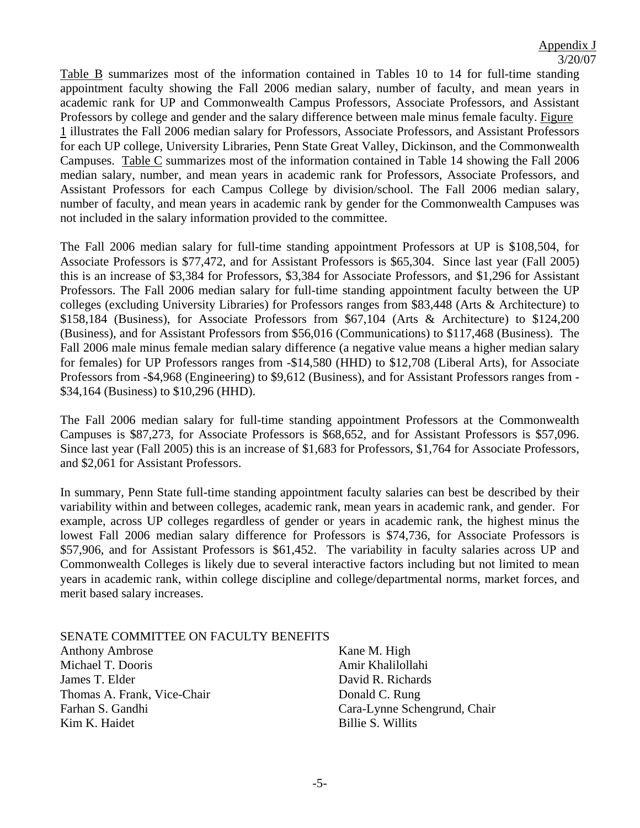Table B summarizes most of the information contained in Tables 10 to 14 for full-time standing appointment faculty showing the Fall 2006 median salary, number of faculty, and mean years in academic rank for UP and Commonwealth Campus Professors, Associate Professors, and Assistant Professors by college and gender and the salary difference between male minus female faculty. Figure 1 illustrates the Fall 2006 median salary for Professors, Associate Professors, and Assistant Professors for each UP college, University Libraries, Penn State Great Valley, Dickinson, and the Commonwealth Campuses. Table C summarizes most of the information contained in Table 14 showing the Fall 2006 median salary, number, and mean years in academic rank for Professors, Associate Professors, and Assistant Professors for each Campus College by division/school. The Fall 2006 median salary, number of faculty, and mean years in academic rank by gender for the Commonwealth Campuses was not included in the salary information provided to the committee.

The Fall 2006 median salary for full-time standing appointment Professors at UP is \$108,504, for Associate Professors is \$77,472, and for Assistant Professors is \$65,304. Since last year (Fall 2005) this is an increase of \$3,384 for Professors, \$3,384 for Associate Professors, and \$1,296 for Assistant Professors. The Fall 2006 median salary for full-time standing appointment faculty between the UP colleges (excluding University Libraries) for Professors ranges from \$83,448 (Arts & Architecture) to \$158,184 (Business), for Associate Professors from \$67,104 (Arts & Architecture) to \$124,200 (Business), and for Assistant Professors from \$56,016 (Communications) to \$117,468 (Business). The Fall 2006 male minus female median salary difference (a negative value means a higher median salary for females) for UP Professors ranges from -\$14,580 (HHD) to \$12,708 (Liberal Arts), for Associate Professors from -\$4,968 (Engineering) to \$9,612 (Business), and for Assistant Professors ranges from - \$34,164 (Business) to \$10,296 (HHD).

The Fall 2006 median salary for full-time standing appointment Professors at the Commonwealth Campuses is \$87,273, for Associate Professors is \$68,652, and for Assistant Professors is \$57,096. Since last year (Fall 2005) this is an increase of \$1,683 for Professors, \$1,764 for Associate Professors, and \$2,061 for Assistant Professors.

In summary, Penn State full-time standing appointment faculty salaries can best be described by their variability within and between colleges, academic rank, mean years in academic rank, and gender. For example, across UP colleges regardless of gender or years in academic rank, the highest minus the lowest Fall 2006 median salary difference for Professors is \$74,736, for Associate Professors is \$57,906, and for Assistant Professors is \$61,452. The variability in faculty salaries across UP and Commonwealth Colleges is likely due to several interactive factors including but not limited to mean years in academic rank, within college discipline and college/departmental norms, market forces, and merit based salary increases.

#### SENATE COMMITTEE ON FACULTY BENEFITS

Anthony Ambrose Michael T. Dooris James T. Elder Thomas A. Frank, Vice-Chair Farhan S. Gandhi Kim K. Haidet

Kane M. High Amir Khalilollahi David R. Richards Donald C. Rung Cara-Lynne Schengrund, Chair Billie S. Willits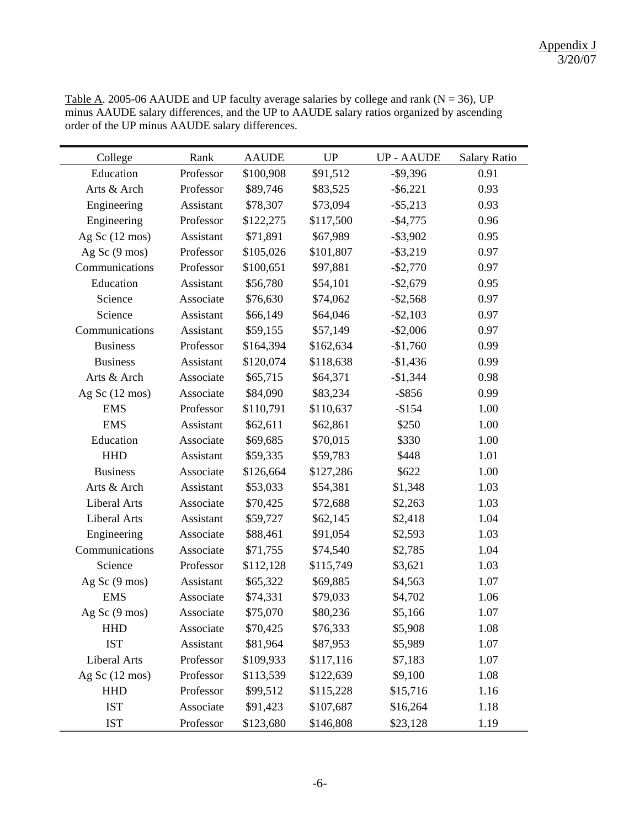| College                  | Rank      | <b>AAUDE</b> | UP        | <b>UP-AAUDE</b> | <b>Salary Ratio</b> |
|--------------------------|-----------|--------------|-----------|-----------------|---------------------|
| Education                | Professor | \$100,908    | \$91,512  | $-$ \$9,396     | 0.91                |
| Arts & Arch              | Professor | \$89,746     | \$83,525  | $-$ \$6,221     | 0.93                |
| Engineering              | Assistant | \$78,307     | \$73,094  | $-$ \$5,213     | 0.93                |
| Engineering              | Professor | \$122,275    | \$117,500 | $-$4,775$       | 0.96                |
| Ag Sc $(12 \text{ mos})$ | Assistant | \$71,891     | \$67,989  | $-$ \$3,902     | 0.95                |
| Ag Sc $(9 \text{ mos})$  | Professor | \$105,026    | \$101,807 | $-$ \$3,219     | 0.97                |
| Communications           | Professor | \$100,651    | \$97,881  | $-$ \$2,770     | 0.97                |
| Education                | Assistant | \$56,780     | \$54,101  | $-$2,679$       | 0.95                |
| Science                  | Associate | \$76,630     | \$74,062  | $-$ \$2,568     | 0.97                |
| Science                  | Assistant | \$66,149     | \$64,046  | $-$ \$2,103     | 0.97                |
| Communications           | Assistant | \$59,155     | \$57,149  | $-$2,006$       | 0.97                |
| <b>Business</b>          | Professor | \$164,394    | \$162,634 | $-$1,760$       | 0.99                |
| <b>Business</b>          | Assistant | \$120,074    | \$118,638 | $-$1,436$       | 0.99                |
| Arts & Arch              | Associate | \$65,715     | \$64,371  | $-\$1,344$      | 0.98                |
| Ag Sc $(12 \text{ mos})$ | Associate | \$84,090     | \$83,234  | $-$ \$856       | 0.99                |
| <b>EMS</b>               | Professor | \$110,791    | \$110,637 | $-$154$         | 1.00                |
| <b>EMS</b>               | Assistant | \$62,611     | \$62,861  | \$250           | 1.00                |
| Education                | Associate | \$69,685     | \$70,015  | \$330           | 1.00                |
| <b>HHD</b>               | Assistant | \$59,335     | \$59,783  | \$448           | 1.01                |
| <b>Business</b>          | Associate | \$126,664    | \$127,286 | \$622           | 1.00                |
| Arts & Arch              | Assistant | \$53,033     | \$54,381  | \$1,348         | 1.03                |
| <b>Liberal Arts</b>      | Associate | \$70,425     | \$72,688  | \$2,263         | 1.03                |
| Liberal Arts             | Assistant | \$59,727     | \$62,145  | \$2,418         | 1.04                |
| Engineering              | Associate | \$88,461     | \$91,054  | \$2,593         | 1.03                |
| Communications           | Associate | \$71,755     | \$74,540  | \$2,785         | 1.04                |
| Science                  | Professor | \$112,128    | \$115,749 | \$3,621         | 1.03                |
| Ag Sc (9 mos)            | Assistant | \$65,322     | \$69,885  | \$4,563         | 1.07                |
| <b>EMS</b>               | Associate | \$74,331     | \$79,033  | \$4,702         | 1.06                |
| Ag Sc $(9 \text{ mos})$  | Associate | \$75,070     | \$80,236  | \$5,166         | 1.07                |
| <b>HHD</b>               | Associate | \$70,425     | \$76,333  | \$5,908         | 1.08                |
| <b>IST</b>               | Assistant | \$81,964     | \$87,953  | \$5,989         | 1.07                |
| <b>Liberal Arts</b>      | Professor | \$109,933    | \$117,116 | \$7,183         | 1.07                |
| Ag Sc $(12 \text{ mos})$ | Professor | \$113,539    | \$122,639 | \$9,100         | 1.08                |
| <b>HHD</b>               | Professor | \$99,512     | \$115,228 | \$15,716        | 1.16                |
| <b>IST</b>               | Associate | \$91,423     | \$107,687 | \$16,264        | 1.18                |
| <b>IST</b>               | Professor | \$123,680    | \$146,808 | \$23,128        | 1.19                |

Table A. 2005-06 AAUDE and UP faculty average salaries by college and rank ( $N = 36$ ), UP minus AAUDE salary differences, and the UP to AAUDE salary ratios organized by ascending order of the UP minus AAUDE salary differences.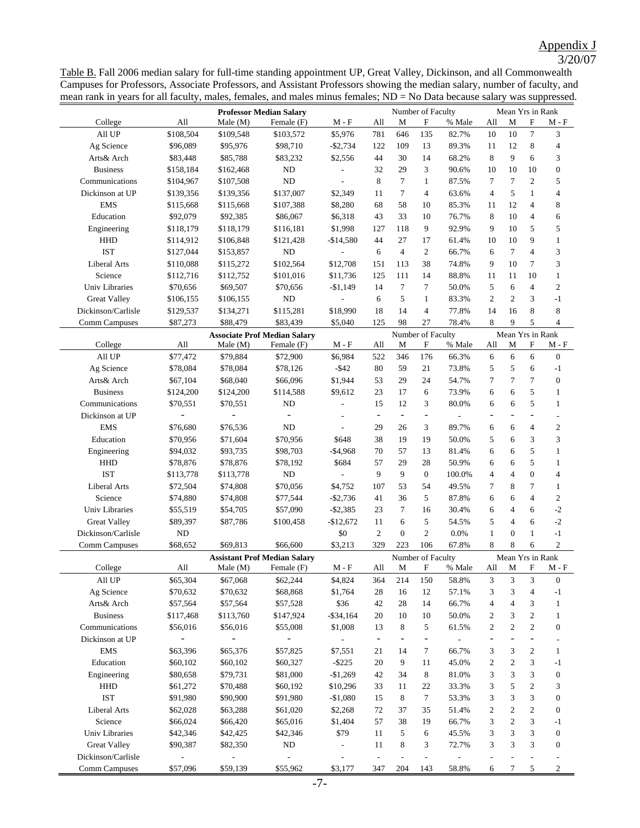# Appendix J 3/20/07

Table B. Fall 2006 median salary for full-time standing appointment UP, Great Valley, Dickinson, and all Commonwealth Campuses for Professors, Associate Professors, and Assistant Professors showing the median salary, number of faculty, and mean rank in years for all faculty, males, females, and males minus females; ND = No Data because salary was suppressed.

| College                        | All                                                                           | <b>Professor Median Salary</b><br>Male(M)<br>Female (F) |                                     | M - F                    |                          | Number of Faculty<br>All<br>M<br>F |                              | % Male                   | Mean Yrs in Rank<br>M<br>All |                  | F              | $M - F$            |  |
|--------------------------------|-------------------------------------------------------------------------------|---------------------------------------------------------|-------------------------------------|--------------------------|--------------------------|------------------------------------|------------------------------|--------------------------|------------------------------|------------------|----------------|--------------------|--|
| All UP                         | \$108,504                                                                     | \$109,548                                               | \$103,572                           | \$5,976                  | 781                      | 646                                | 135                          | 82.7%                    | 10                           | 10               | $\tau$         | 3                  |  |
| Ag Science                     | \$96,089                                                                      | \$95,976                                                | \$98,710                            | $-$2,734$                | 122                      | 109                                | 13                           | 89.3%                    | 11                           | 12               | 8              | 4                  |  |
| Arts& Arch                     | \$83,448                                                                      | \$85,788                                                | \$83,232                            | \$2,556                  | 44                       | 30                                 | 14                           | 68.2%                    | 8                            | 9                | 6              | 3                  |  |
| <b>Business</b>                | \$158,184                                                                     | \$162,468                                               | $\rm ND$                            |                          | 32                       | 29                                 | 3                            | 90.6%                    | 10                           | 10               | 10             | $\boldsymbol{0}$   |  |
| Communications                 | \$104,967                                                                     | \$107,508                                               | ND                                  |                          | 8                        | 7                                  | $\mathbf{1}$                 | 87.5%                    | $\overline{7}$               | $\tau$           | $\overline{c}$ | 5                  |  |
| Dickinson at UP                | \$139,356                                                                     | \$139,356                                               | \$137,007                           | \$2,349                  | 11                       | 7                                  | 4                            | 63.6%                    | $\overline{4}$               | 5                | $\mathbf{1}$   | 4                  |  |
| <b>EMS</b>                     | \$115,668                                                                     | \$115,668                                               | \$107,388                           | \$8,280                  | 68                       | 58                                 | 10                           | 85.3%                    | 11                           | 12               | $\overline{4}$ | 8                  |  |
| Education                      | \$92,079                                                                      | \$92,385                                                | \$86,067                            | \$6,318                  | 43                       | 33                                 | 10                           | 76.7%                    | 8                            | 10               | 4              | 6                  |  |
| Engineering                    | \$118,179                                                                     | \$118,179                                               | \$116,181                           | \$1,998                  | 127                      | 118                                | 9                            | 92.9%                    | 9                            | 10               | 5              | 5                  |  |
| HHD                            | \$114,912                                                                     | \$106,848                                               | \$121,428                           | $-$14,580$               | 44                       | 27                                 | 17                           | 61.4%                    | 10                           | 10               | 9              | $\mathbf{1}$       |  |
| <b>IST</b>                     | \$127,044                                                                     | \$153,857                                               | ND                                  |                          | 6                        | $\overline{4}$                     | 2                            | 66.7%                    | 6                            | 7                | $\overline{4}$ | 3                  |  |
| <b>Liberal Arts</b>            | \$110,088                                                                     | \$115,272                                               | \$102,564                           | \$12,708                 | 151                      | 113                                | 38                           | 74.8%                    | 9                            | 10               | 7              | 3                  |  |
| Science                        | \$112,716                                                                     | \$112,752                                               | \$101,016                           | \$11,736                 | 125                      | 111                                | 14                           | 88.8%                    | 11                           | 11               | 10             | $\mathbf{1}$       |  |
| Univ Libraries                 | \$70,656                                                                      | \$69,507                                                | \$70,656                            | $-$1,149$                | 14                       | $\tau$                             | $\tau$                       | 50.0%                    | 5                            | 6                | $\overline{4}$ | $\mathbf{2}$       |  |
| <b>Great Valley</b>            | \$106,155                                                                     | \$106,155                                               | ND                                  |                          | 6                        | 5                                  | $\mathbf{1}$                 | 83.3%                    | 2                            | $\mathbf{2}$     | 3              | $-1$               |  |
| Dickinson/Carlisle             | \$129,537                                                                     | \$134,271                                               | \$115,281                           | \$18,990                 | 18                       | 14                                 | $\overline{4}$               | 77.8%                    | 14                           | 16               | 8              | 8                  |  |
| <b>Comm Campuses</b>           | \$87,273                                                                      | \$88,479                                                | \$83,439                            | \$5,040                  | 125                      | 98                                 | 27                           | 78.4%                    | 8                            | 9                | 5              | $\overline{4}$     |  |
|                                |                                                                               |                                                         | <b>Associate Prof Median Salary</b> |                          |                          | Number of Faculty                  |                              |                          |                              | Mean Yrs in Rank |                |                    |  |
| College                        | All                                                                           | Male(M)                                                 | Female (F)                          | $M - F$                  | All                      | M                                  | F                            | % Male                   | All                          | M                | F              | M - F              |  |
| All UP                         | \$77,472                                                                      | \$79,884                                                | \$72,900                            | \$6,984                  | 522                      | 346                                | 176                          | 66.3%                    | 6                            | 6                | 6              | $\boldsymbol{0}$   |  |
| Ag Science                     | \$78,084                                                                      | \$78,084                                                | \$78,126                            | $-$ \$42                 | 80                       | 59                                 | 21                           | 73.8%                    | 5                            | 5                | 6              | $-1$               |  |
| Arts& Arch                     | \$67,104                                                                      | \$68,040                                                | \$66,096                            | \$1,944                  | 53                       | 29                                 | 24                           | 54.7%                    | 7                            | $\overline{7}$   | 7              | $\boldsymbol{0}$   |  |
| <b>Business</b>                | \$124,200                                                                     | \$124,200                                               | \$114,588                           | \$9,612                  | 23                       | 17                                 | 6                            | 73.9%                    | 6                            | 6                | 5              | $\mathbf{1}$       |  |
| Communications                 | \$70,551                                                                      | \$70,551                                                | ND                                  |                          | 15                       | 12                                 | 3                            | 80.0%                    | 6                            | 6                | 5              | $\mathbf{1}$       |  |
| Dickinson at UP                |                                                                               |                                                         |                                     |                          | $\overline{\phantom{a}}$ | $\overline{\phantom{a}}$           | $\overline{\phantom{0}}$     |                          | $\overline{\phantom{0}}$     | ۰                | $\overline{a}$ |                    |  |
| <b>EMS</b>                     | \$76,680                                                                      | \$76,536                                                | ND                                  | ÷,                       | 29                       | 26                                 | 3                            | 89.7%                    | 6                            | 6                | 4              | $\overline{2}$     |  |
| Education                      | \$70,956                                                                      | \$71,604                                                | \$70,956                            | \$648                    | 38                       | 19                                 | 19                           | 50.0%                    | 5                            | 6                | 3              | 3                  |  |
| Engineering                    | \$94,032                                                                      | \$93,735                                                | \$98,703                            | $-$4,968$                | 70                       | 57                                 | 13                           | 81.4%                    | 6                            | 6                | 5              | 1                  |  |
| <b>HHD</b><br><b>IST</b>       | \$78,876                                                                      | \$78,876                                                | \$78,192                            | \$684                    | 57                       | 29                                 | 28                           | 50.9%                    | 6                            | 6                | 5              | 1                  |  |
|                                | \$113,778                                                                     | \$113,778                                               | ND                                  |                          | 9                        | 9                                  | $\mathbf{0}$                 | 100.0%                   | $\overline{4}$               | $\overline{4}$   | $\mathbf{0}$   | 4                  |  |
| <b>Liberal Arts</b><br>Science | \$72,504                                                                      | \$74,808                                                | \$70,056                            | \$4,752                  | 107<br>41                | 53<br>36                           | 54<br>5                      | 49.5%<br>87.8%           | 7<br>6                       | 8<br>6           | 7<br>4         | $\mathbf{1}$       |  |
| <b>Univ Libraries</b>          | \$74,880                                                                      | \$74,808                                                | \$77,544<br>\$57,090                | $-$ \$2,736<br>$-$2,385$ | 23                       | 7                                  | 16                           | 30.4%                    | 6                            | $\overline{4}$   | 6              | $\sqrt{2}$<br>$-2$ |  |
| <b>Great Valley</b>            | \$55,519<br>\$89,397                                                          | \$54,705<br>\$87,786                                    | \$100,458                           | $-$12,672$               | 11                       | 6                                  | 5                            | 54.5%                    | 5                            | $\overline{4}$   | 6              | $-2$               |  |
| Dickinson/Carlisle             | ND                                                                            |                                                         |                                     | \$0                      | $\mathbf{2}$             | $\overline{0}$                     | $\mathbf{2}$                 | 0.0%                     | $\mathbf{1}$                 | $\mathbf{0}$     | $\mathbf{1}$   | $-1$               |  |
| <b>Comm Campuses</b>           | \$68,652                                                                      | \$69,813                                                | \$66,600                            | \$3,213                  | 329                      | 223                                | 106                          | 67.8%                    | 8                            | 8                | 6              | $\boldsymbol{2}$   |  |
|                                |                                                                               |                                                         |                                     |                          |                          |                                    | Number of Faculty            |                          |                              | Mean Yrs in Rank |                |                    |  |
| College                        | <b>Assistant Prof Median Salary</b><br>M - F<br>All<br>Male (M)<br>Female (F) |                                                         |                                     |                          | All                      | М                                  | F                            | % Male                   |                              | All M F          |                | M - F              |  |
| All UP                         | \$65,304                                                                      | \$67,068                                                | \$62,244                            | \$4,824                  | 364                      | 214                                | 150                          | 58.8%                    | 3                            | 3                | 3              | $\mathbf{0}$       |  |
| Ag Science                     | \$70,632                                                                      | \$70,632                                                | \$68,868                            | \$1,764                  | $28\,$                   | 16                                 | 12                           | 57.1%                    | 3                            | 3                | 4              | $-1$               |  |
| Arts& Arch                     | \$57,564                                                                      | \$57,564                                                | \$57,528                            | \$36                     | 42                       | 28                                 | 14                           | 66.7%                    | $\overline{4}$               | $\overline{4}$   | 3              | $\mathbf{1}$       |  |
| <b>Business</b>                | \$117,468                                                                     | \$113,760                                               | \$147,924                           | $-$ \$34,164             | 20                       | 10                                 | 10                           | 50.0%                    | $\overline{c}$               | 3                | $\overline{c}$ | $\mathbf{1}$       |  |
| Communications                 | \$56,016                                                                      | \$56,016                                                | \$55,008                            | \$1,008                  | 13                       | 8                                  | 5                            | 61.5%                    | $\mathfrak{2}$               | $\boldsymbol{2}$ | $\overline{c}$ | $\boldsymbol{0}$   |  |
| Dickinson at UP                | $\frac{1}{2}$                                                                 | $\qquad \qquad \blacksquare$                            | $\qquad \qquad \blacksquare$        | $\overline{\phantom{a}}$ | $\overline{\phantom{a}}$ | $\overline{a}$                     | $\overline{\phantom{a}}$     | $\overline{\phantom{a}}$ | ÷                            |                  | $\overline{a}$ |                    |  |
| <b>EMS</b>                     | \$63,396                                                                      | \$65,376                                                | \$57,825                            | \$7,551                  | 21                       | 14                                 | 7                            | 66.7%                    | 3                            | 3                | $\overline{c}$ | $\mathbf{1}$       |  |
| Education                      | \$60,102                                                                      | \$60,102                                                | \$60,327                            | $-$ \$225                | $20\,$                   | 9                                  | 11                           | 45.0%                    | $\mathfrak{2}$               | $\boldsymbol{2}$ | 3              | $-1$               |  |
| Engineering                    | \$80,658                                                                      | \$79,731                                                | \$81,000                            | $-$1,269$                | 42                       | 34                                 | 8                            | 81.0%                    | 3                            | 3                | 3              | $\boldsymbol{0}$   |  |
| HHD                            | \$61,272                                                                      | \$70,488                                                | \$60,192                            | \$10,296                 | 33                       | 11                                 | 22                           | 33.3%                    | 3                            | 5                | 2              | 3                  |  |
| <b>IST</b>                     | \$91,980                                                                      | \$90,900                                                | \$91,980                            | $-$1,080$                | 15                       | 8                                  | $\tau$                       | 53.3%                    | 3                            | 3                | 3              | $\boldsymbol{0}$   |  |
| Liberal Arts                   | \$62,028                                                                      | \$63,288                                                | \$61,020                            | \$2,268                  | 72                       | 37                                 | 35                           | 51.4%                    | $\overline{c}$               | $\sqrt{2}$       | $\overline{c}$ | $\boldsymbol{0}$   |  |
| Science                        | \$66,024                                                                      | \$66,420                                                | \$65,016                            | \$1,404                  | 57                       | 38                                 | 19                           | 66.7%                    | 3                            | $\sqrt{2}$       | 3              | $-1$               |  |
| <b>Univ Libraries</b>          | \$42,346                                                                      | \$42,425                                                | \$42,346                            | \$79                     | 11                       | 5                                  | 6                            | 45.5%                    | 3                            | 3                | 3              | $\boldsymbol{0}$   |  |
| <b>Great Valley</b>            | \$90,387                                                                      | \$82,350                                                | $\rm ND$                            | $\overline{\phantom{a}}$ | 11                       | 8                                  | 3                            | 72.7%                    | 3                            | 3                | 3              | $\boldsymbol{0}$   |  |
| Dickinson/Carlisle             |                                                                               |                                                         |                                     |                          | $\overline{\phantom{a}}$ | $\overline{a}$                     | $\qquad \qquad \blacksquare$ |                          | ÷,                           |                  |                |                    |  |
| <b>Comm Campuses</b>           | \$57,096                                                                      | \$59,139                                                | \$55,962                            | \$3,177                  | 347                      | 204                                | 143                          | 58.8%                    | 6                            | 7                | 5              | $\mathfrak{2}$     |  |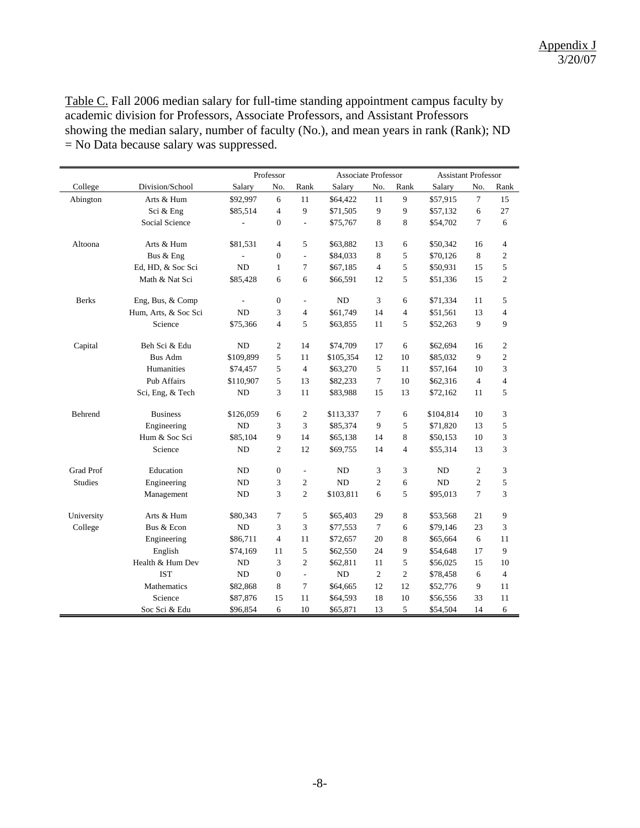Table C. Fall 2006 median salary for full-time standing appointment campus faculty by academic division for Professors, Associate Professors, and Assistant Professors showing the median salary, number of faculty (No.), and mean years in rank (Rank); ND = No Data because salary was suppressed.

|                  |                      |                | Professor      |                          |           | <b>Associate Professor</b> |                |           | <b>Assistant Professor</b> |                |  |
|------------------|----------------------|----------------|----------------|--------------------------|-----------|----------------------------|----------------|-----------|----------------------------|----------------|--|
| College          | Division/School      | Salary         | No.            | Rank                     | Salary    | No.                        | Rank           | Salary    | No.                        | Rank           |  |
| Abington         | Arts & Hum           | \$92,997       | 6              | 11                       | \$64,422  | 11                         | 9              | \$57,915  | $\tau$                     | 15             |  |
|                  | Sci & Eng            | \$85,514       | $\overline{4}$ | 9                        | \$71,505  | 9                          | 9              | \$57,132  | 6                          | 27             |  |
|                  | Social Science       |                | $\Omega$       | $\overline{\phantom{a}}$ | \$75,767  | 8                          | 8              | \$54,702  | $\tau$                     | 6              |  |
| Altoona          | Arts & Hum           | \$81,531       | $\overline{4}$ | 5                        | \$63,882  | 13                         | 6              | \$50,342  | 16                         | $\overline{4}$ |  |
|                  | Bus & Eng            |                | $\Omega$       | $\overline{\phantom{a}}$ | \$84,033  | 8                          | 5              | \$70,126  | 8                          | 2              |  |
|                  | Ed, HD, & Soc Sci    | N <sub>D</sub> | $\mathbf{1}$   | 7                        | \$67,185  | $\overline{4}$             | 5              | \$50,931  | 15                         | 5              |  |
|                  | Math & Nat Sci       | \$85,428       | 6              | 6                        | \$66,591  | 12                         | 5              | \$51,336  | 15                         | $\overline{c}$ |  |
| <b>Berks</b>     | Eng, Bus, & Comp     |                | $\mathbf{0}$   | L.                       | <b>ND</b> | 3                          | 6              | \$71,334  | 11                         | 5              |  |
|                  | Hum, Arts, & Soc Sci | <b>ND</b>      | 3              | $\overline{4}$           | \$61,749  | 14                         | $\overline{4}$ | \$51,561  | 13                         | 4              |  |
|                  | Science              | \$75,366       | $\overline{4}$ | 5                        | \$63,855  | 11                         | 5              | \$52,263  | 9                          | 9              |  |
| Capital          | Beh Sci & Edu        | ND             | $\overline{2}$ | 14                       | \$74,709  | 17                         | 6              | \$62,694  | 16                         | 2              |  |
|                  | <b>Bus Adm</b>       | \$109,899      | 5              | 11                       | \$105,354 | 12                         | 10             | \$85,032  | 9                          | $\overline{c}$ |  |
|                  | Humanities           | \$74,457       | 5              | 4                        | \$63,270  | 5                          | 11             | \$57,164  | 10                         | 3              |  |
|                  | Pub Affairs          | \$110,907      | 5              | 13                       | \$82,233  | $\tau$                     | 10             | \$62,316  | $\overline{4}$             | $\overline{4}$ |  |
|                  | Sci, Eng, & Tech     | ND             | 3              | 11                       | \$83,988  | 15                         | 13             | \$72,162  | 11                         | 5              |  |
| Behrend          | <b>Business</b>      | \$126,059      | 6              | $\overline{2}$           | \$113,337 | $\tau$                     | 6              | \$104,814 | 10                         | 3              |  |
|                  | Engineering          | N <sub>D</sub> | 3              | 3                        | \$85,374  | 9                          | 5              | \$71,820  | 13                         | 5              |  |
|                  | Hum & Soc Sci        | \$85,104       | 9              | 14                       | \$65,138  | 14                         | 8              | \$50,153  | 10                         | 3              |  |
|                  | Science              | <b>ND</b>      | $\overline{2}$ | 12                       | \$69,755  | 14                         | $\overline{4}$ | \$55,314  | 13                         | 3              |  |
| <b>Grad Prof</b> | Education            | ND             | $\mathbf{0}$   | $\overline{\phantom{a}}$ | ND        | 3                          | 3              | <b>ND</b> | $\overline{c}$             | 3              |  |
| <b>Studies</b>   | Engineering          | ND             | 3              | $\overline{c}$           | <b>ND</b> | 2                          | 6              | <b>ND</b> | $\overline{c}$             | 5              |  |
|                  | Management           | ND             | 3              | $\overline{c}$           | \$103,811 | 6                          | 5              | \$95,013  | $\overline{7}$             | 3              |  |
| University       | Arts & Hum           | \$80,343       | 7              | 5                        | \$65,403  | 29                         | 8              | \$53,568  | 21                         | 9              |  |
| College          | Bus & Econ           | N <sub>D</sub> | 3              | 3                        | \$77,553  | $\tau$                     | 6              | \$79,146  | 23                         | 3              |  |
|                  | Engineering          | \$86,711       | $\overline{4}$ | 11                       | \$72,657  | 20                         | 8              | \$65,664  | 6                          | 11             |  |
|                  | English              | \$74,169       | 11             | 5                        | \$62,550  | 24                         | 9              | \$54,648  | 17                         | 9              |  |
|                  | Health & Hum Dev     | <b>ND</b>      | 3              | $\overline{c}$           | \$62,811  | 11                         | 5              | \$56,025  | 15                         | 10             |  |
|                  | <b>IST</b>           | ND             | $\Omega$       | $\sim$                   | ND        | 2                          | $\overline{c}$ | \$78,458  | 6                          | $\overline{4}$ |  |
|                  | Mathematics          | \$82,868       | 8              | 7                        | \$64,665  | 12                         | 12             | \$52,776  | 9                          | 11             |  |
|                  | Science              | \$87,876       | 15             | 11                       | \$64,593  | 18                         | 10             | \$56,556  | 33                         | 11             |  |
|                  | Soc Sci & Edu        | \$96,854       | 6              | 10                       | \$65,871  | 13                         | 5              | \$54,504  | 14                         | 6              |  |